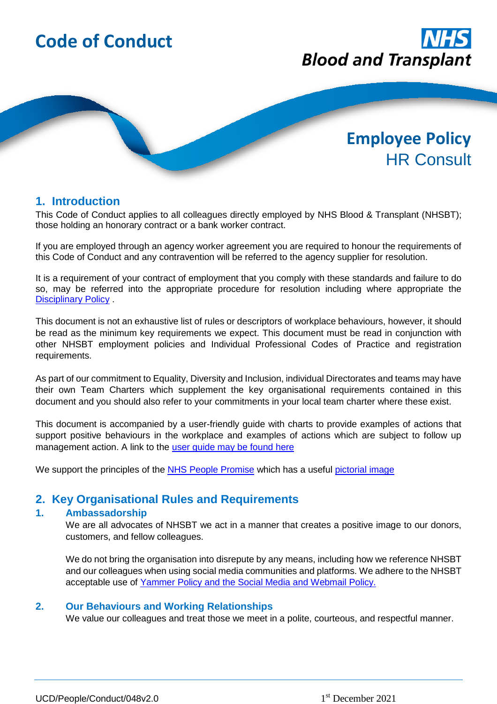

# **1. Introduction**

This Code of Conduct applies to all colleagues directly employed by NHS Blood & Transplant (NHSBT); those holding an honorary contract or a bank worker contract.

If you are employed through an agency worker agreement you are required to honour the requirements of this Code of Conduct and any contravention will be referred to the agency supplier for resolution.

It is a requirement of your contract of employment that you comply with these standards and failure to do so, may be referred into the appropriate procedure for resolution including where appropriate the [Disciplinary Policy](https://peoplefirst.nhsbt.nhs.uk/Policies/disciplinary.htm) .

This document is not an exhaustive list of rules or descriptors of workplace behaviours, however, it should be read as the minimum key requirements we expect. This document must be read in conjunction with other NHSBT employment policies and Individual Professional Codes of Practice and registration requirements.

As part of our commitment to Equality, Diversity and Inclusion, individual Directorates and teams may have their own Team Charters which supplement the key organisational requirements contained in this document and you should also refer to your commitments in your local team charter where these exist.

This document is accompanied by a user-friendly guide with charts to provide examples of actions that support positive behaviours in the workplace and examples of actions which are subject to follow up management action. A link to the [user guide may be found here](https://peoplefirst.nhsbt.nhs.uk/NHSBT-DOCUMENT-LIBRARY/PoliciesandSupportingDocs/Guidance-Code-of-Conduct-Tool.pdf)

We support the principles of the **NHS People Promise** which has a useful [pictorial image](https://www.nhsemployers.org/articles/staff-experience-nhs)

# **2. Key Organisational Rules and Requirements**

# **1. Ambassadorship**

We are all advocates of NHSBT we act in a manner that creates a positive image to our donors, customers, and fellow colleagues.

We do not bring the organisation into disrepute by any means, including how we reference NHSBT and our colleagues when using social media communities and platforms. We adhere to the NHSBT acceptable use of [Yammer Policy](https://nhsbloodandtransplant.sharepoint.com/sites/Link/SitePages/New-Yammer-policy-in-effect-from-15-February.aspx?CT=1631708902390&OR=OWA-NT&CID=e7f7d41b-cdf8-3bab-4958-f6413d47ce40) and the [Social Media and Webmail Policy.](https://peoplefirst.nhsbt.nhs.uk/NHSBT-DOCUMENT-LIBRARY/PoliciesandSupportingDocs/Policy-Social-Media-And-Webmail-Policy.pdf)

# **2. Our Behaviours and Working Relationships**

We value our colleagues and treat those we meet in a polite, courteous, and respectful manner.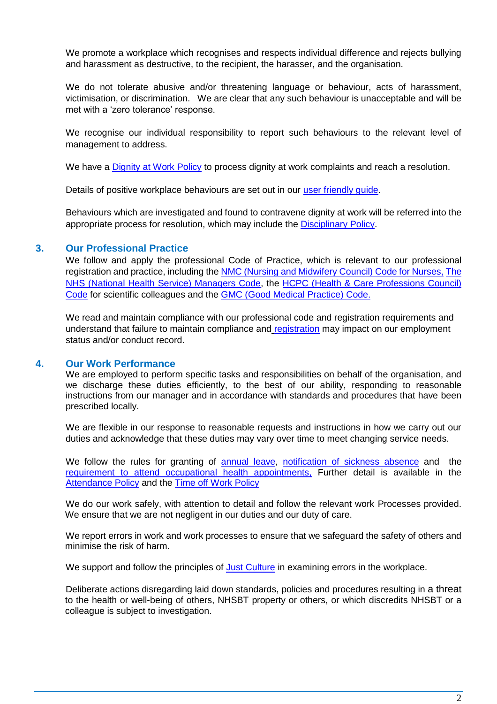We promote a workplace which recognises and respects individual difference and rejects bullying and harassment as destructive, to the recipient, the harasser, and the organisation.

We do not tolerate abusive and/or threatening language or behaviour, acts of harassment, victimisation, or discrimination. We are clear that any such behaviour is unacceptable and will be met with a 'zero tolerance' response.

We recognise our individual responsibility to report such behaviours to the relevant level of management to address.

We have a [Dignity at Work Policy](https://peoplefirst.nhsbt.nhs.uk/Policies/dignity-at-work.htm) to process dignity at work complaints and reach a resolution.

Details of positive workplace behaviours are set out in our [user friendly guide.](https://peoplefirst.nhsbt.nhs.uk/NHSBT-DOCUMENT-LIBRARY/PoliciesandSupportingDocs/Guidance-Code-of-Conduct-Tool.pdf)

Behaviours which are investigated and found to contravene dignity at work will be referred into the appropriate process for resolution, which may include the [Disciplinary Policy.](https://peoplefirst.nhsbt.nhs.uk/Policies/disciplinary.htm)

# **3. Our Professional Practice**

We follow and apply the professional Code of Practice, which is relevant to our professional registration and practice, including th[e NMC \(Nursing and Midwifery Council\) Code for Nurses,](https://www.nmc.org.uk/standards/code/) [The](https://www.porthosp.nhs.uk/about-us/policies-and-guidelines/policies/HR/Code%20of%20Conduct%20for%20NHS%20Managers.pdf)  [NHS \(National Health Service\) Managers Code,](https://www.porthosp.nhs.uk/about-us/policies-and-guidelines/policies/HR/Code%20of%20Conduct%20for%20NHS%20Managers.pdf) the [HCPC \(Health & Care Professions Council\)](https://www.hcpc-uk.org/standards/standards-of-conduct-performance-and-ethics/)  [Code](https://www.hcpc-uk.org/standards/standards-of-conduct-performance-and-ethics/) for scientific colleagues and the [GMC \(Good Medical Practice\) Code.](https://www.gmc-uk.org/ethical-guidance/ethical-guidance-for-doctors/good-medical-practice)

We read and maintain compliance with our professional code and registration requirements and understand that failure to maintain compliance and [registration](https://peoplefirst.nhsbt.nhs.uk/NHSBT-DOCUMENT-LIBRARY/PoliciesandSupportingDocs/Policy-Professional-Registration.pdf) may impact on our employment status and/or conduct record.

# **4. Our Work Performance**

We are employed to perform specific tasks and responsibilities on behalf of the organisation, and we discharge these duties efficiently, to the best of our ability, responding to reasonable instructions from our manager and in accordance with standards and procedures that have been prescribed locally.

We are flexible in our response to reasonable requests and instructions in how we carry out our duties and acknowledge that these duties may vary over time to meet changing service needs.

We follow the rules for granting of [annual leave,](https://peoplefirst.nhsbt.nhs.uk/Annual-Leave-and-Absence/annual-leave.htm) [notification of sickness absence](https://peoplefirst.nhsbt.nhs.uk/NHSBT-DOCUMENT-LIBRARY/PoliciesandSupportingDocs/Policy-AttendancePolicy.pdf) and the [requirement to attend occupational health appointments,](https://peoplefirst.nhsbt.nhs.uk/Wellbeing/occupational-health-oh.htm) Further detail is available in the [Attendance Policy](https://peoplefirst.nhsbt.nhs.uk/Policies/attendance.htm) and the [Time off Work Policy](https://peoplefirst.nhsbt.nhs.uk/Policies/time-off-work.htm)

We do our work safely, with attention to detail and follow the relevant work Processes provided. We ensure that we are not negligent in our duties and our duty of care.

We report errors in work and work processes to ensure that we safeguard the safety of others and minimise the risk of harm.

We support and follow the principles of [Just Culture](https://peoplefirst.nhsbt.nhs.uk/Policies/just-culture.htm) in examining errors in the workplace.

Deliberate actions disregarding laid down standards, policies and procedures resulting in a threat to the health or well-being of others, NHSBT property or others, or which discredits NHSBT or a colleague is subject to investigation.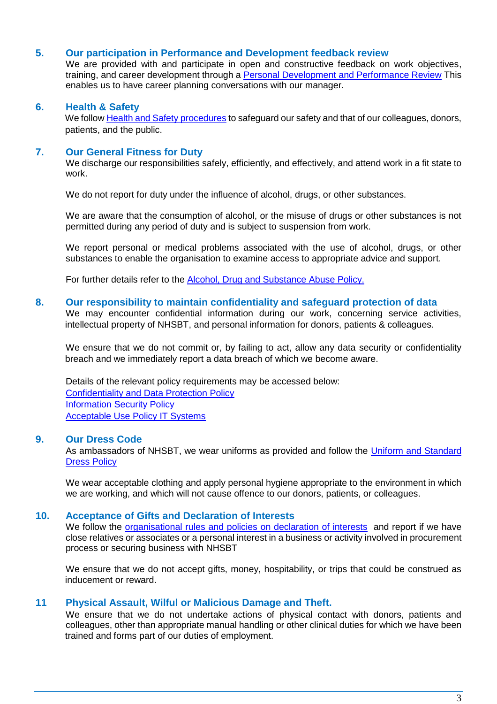# **5. Our participation in Performance and Development feedback review**

We are provided with and participate in open and constructive feedback on work objectives, training, and career development through a [Personal Development and Performance Review](https://peoplefirst.nhsbt.nhs.uk/pdpr.htm) This enables us to have career planning conversations with our manager.

# **6. Health & Safety**

We follo[w Health and Safety procedures](https://peoplefirst.nhsbt.nhs.uk/Safety-at-Work/) to safeguard our safety and that of our colleagues, donors, patients, and the public.

# **7. Our General Fitness for Duty**

We discharge our responsibilities safely, efficiently, and effectively, and attend work in a fit state to work.

We do not report for duty under the influence of alcohol, drugs, or other substances.

We are aware that the consumption of alcohol, or the misuse of drugs or other substances is not permitted during any period of duty and is subject to suspension from work.

We report personal or medical problems associated with the use of alcohol, drugs, or other substances to enable the organisation to examine access to appropriate advice and support.

For further details refer to the **Alcohol, Drug and Substance Abuse Policy**.

#### **8. Our responsibility to maintain confidentiality and safeguard protection of data**

We may encounter confidential information during our work, concerning service activities, intellectual property of NHSBT, and personal information for donors, patients & colleagues.

We ensure that we do not commit or, by failing to act, allow any data security or confidentiality breach and we immediately report a data breach of which we become aware.

Details of the relevant policy requirements may be accessed below: [Confidentiality and Data Protection Policy](https://nhsbloodandtransplant.sharepoint.com/:w:/r/sites/ControlledDocumentsLibrary/_layouts/15/doc2.aspx?sourcedoc=%7B65D0B8FA-A350-40C7-81BD-F8AD90319FCE%7D&file=POL2.docx&action=default&mobileredirect=true&CID=998DD3D6-B2D1-4B93-A196-53273460AFB6&wdLOR=c30947D89-DE7B-4892-842F-3BC2A5D128F7) [Information Security Policy](https://nhsbloodandtransplant.sharepoint.com/:w:/r/sites/ControlledDocumentsLibrary/_layouts/15/doc2.aspx?sourcedoc=%7BFEA53A1E-2549-46BA-8723-DD4666FE3593%7D&file=POL10.docx&action=default&mobileredirect=true&CID=B9743E9B-C2B3-4EDF-85C1-E4EA3C67E4AA&wdLOR=c8B6C4759-C239-4435-9F4F-82409265CCBC) [Acceptable Use Policy IT Systems](https://nhsbloodandtransplant.sharepoint.com/sites/ControlledDocumentsLibrary/Effective%20Documents/Forms/Controlled%20Documents.aspx?id=%2Fsites%2FControlledDocumentsLibrary%2FEffective%20Documents%2FPOL19%2Epdf&parent=%2Fsites%2FControlledDocumentsLibrary%2FEffective%20Documents)

#### **9. Our Dress Code**

As ambassadors of NHSBT, we wear uniforms as provided and follow the Uniform and Standard [Dress Policy](https://peoplefirst.nhsbt.nhs.uk/NHSBT-DOCUMENT-LIBRARY/PoliciesandSupportingDocs/Policy-Uniform-and-Standard-Dress-Policy.pdf)

We wear acceptable clothing and apply personal hygiene appropriate to the environment in which we are working, and which will not cause offence to our donors, patients, or colleagues.

# **10. Acceptance of Gifts and Declaration of Interests**

We follow the organisational rules and policies [on declaration of interests](https://peoplefirst.nhsbt.nhs.uk/Pay-Benefits-and-Pensions/declaration-of-interests.htm) and report if we have close relatives or associates or a personal interest in a business or activity involved in procurement process or securing business with NHSBT

We ensure that we do not accept gifts, money, hospitability, or trips that could be construed as inducement or reward.

# **11 Physical Assault, Wilful or Malicious Damage and Theft.**

We ensure that we do not undertake actions of physical contact with donors, patients and colleagues, other than appropriate manual handling or other clinical duties for which we have been trained and forms part of our duties of employment.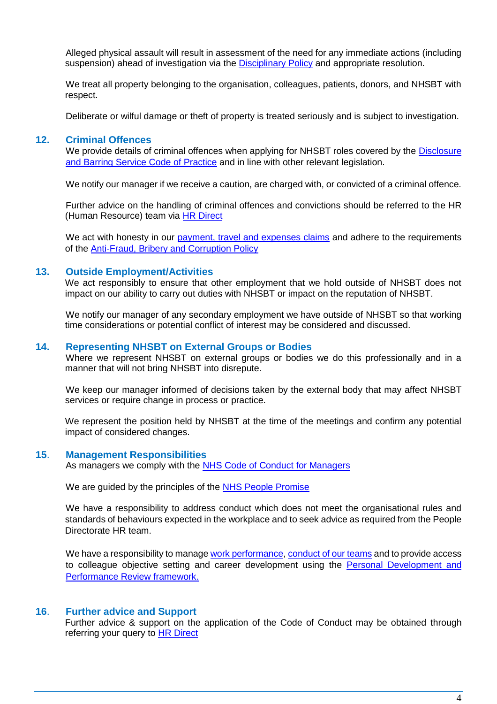Alleged physical assault will result in assessment of the need for any immediate actions (including suspension) ahead of investigation via the [Disciplinary Policy](https://peoplefirst.nhsbt.nhs.uk/NHSBT-DOCUMENT-LIBRARY/PoliciesandSupportingDocs/Policy-DisciplinaryPolicy.pdf) and appropriate resolution.

We treat all property belonging to the organisation, colleagues, patients, donors, and NHSBT with respect.

Deliberate or wilful damage or theft of property is treated seriously and is subject to investigation.

# **12. Criminal Offences**

We provide details of criminal offences when applying for NHSBT roles covered by the [Disclosure](https://peoplefirst.nhsbt.nhs.uk/Recruiting/pre-appointment-checks.htm)  [and Barring Service Code of Practice](https://peoplefirst.nhsbt.nhs.uk/Recruiting/pre-appointment-checks.htm) and in line with other relevant legislation.

We notify our manager if we receive a caution, are charged with, or convicted of a criminal offence.

Further advice on the handling of criminal offences and convictions should be referred to the HR (Human Resource) team via [HR Direct](https://peoplefirst.nhsbt.nhs.uk/Contact-Us/contact-us.htm)

We act with honesty in our [payment, travel and expenses claims](https://peoplefirst.nhsbt.nhs.uk/Pay-Benefits-and-Pensions/) and adhere to the requirements of the [Anti-Fraud, Bribery and Corruption Policy](https://peoplefirst.nhsbt.nhs.uk/NHSBT-DOCUMENT-LIBRARY/PoliciesandSupportingDocs/Policy-Anti-Fraud-Bribery-and-Corruption.pdf)

# **13. Outside Employment/Activities**

We act responsibly to ensure that other employment that we hold outside of NHSBT does not impact on our ability to carry out duties with NHSBT or impact on the reputation of NHSBT.

We notify our manager of any secondary employment we have outside of NHSBT so that working time considerations or potential conflict of interest may be considered and discussed.

# **14. Representing NHSBT on External Groups or Bodies**

Where we represent NHSBT on external groups or bodies we do this professionally and in a manner that will not bring NHSBT into disrepute.

We keep our manager informed of decisions taken by the external body that may affect NHSBT services or require change in process or practice.

We represent the position held by NHSBT at the time of the meetings and confirm any potential impact of considered changes.

#### **15**. **Management Responsibilities**

As managers we comply with the [NHS Code of Conduct for Managers](https://www.porthosp.nhs.uk/about-us/policies-and-guidelines/policies/HR/Code%20of%20Conduct%20for%20NHS%20Managers.pdf)

We are guided by the principles of the [NHS People Promise](https://www.england.nhs.uk/ournhspeople/online-version/lfaop/our-nhs-people-promise/)

We have a responsibility to address conduct which does not meet the organisational rules and standards of behaviours expected in the workplace and to seek advice as required from the People Directorate HR team.

We have a responsibility to manag[e work performance,](https://peoplefirst.nhsbt.nhs.uk/Policies/capability.htm) [conduct of our teams](https://peoplefirst.nhsbt.nhs.uk/Policies/disciplinary.htm) and to provide access to colleague objective setting and career development using the [Personal Development and](https://peoplefirst.nhsbt.nhs.uk/NHSBT-DOCUMENT-LIBRARY/Learning-Development/Policy-PDPR-policy.pdf)  [Performance Review framework.](https://peoplefirst.nhsbt.nhs.uk/NHSBT-DOCUMENT-LIBRARY/Learning-Development/Policy-PDPR-policy.pdf)

#### **16**. **Further advice and Support**

Further advice & support on the application of the Code of Conduct may be obtained through referring your query to **HR Direct**